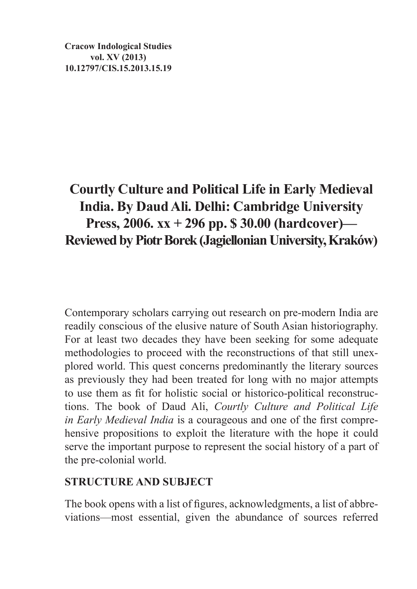**Cracow Indological Studies vol. XV (2013) 10.12797/CIS.15.2013.15.19**

## **Courtly Culture and Political Life in Early Medieval India. By Daud Ali. Delhi: Cambridge University Press, 2006. xx + 296 pp. \$ 30.00 (hardcover)— Reviewed by Piotr Borek (Jagiellonian University, Kraków)**

Contemporary scholars carrying out research on pre-modern India are readily conscious of the elusive nature of South Asian historiography. For at least two decades they have been seeking for some adequate methodologies to proceed with the reconstructions of that still unexplored world. This quest concerns predominantly the literary sources as previously they had been treated for long with no major attempts to use them as fit for holistic social or historico-political reconstructions. The book of Daud Ali, *Courtly Culture and Political Life in Early Medieval India* is a courageous and one of the first comprehensive propositions to exploit the literature with the hope it could serve the important purpose to represent the social history of a part of the pre-colonial world.

## **STRUCTURE AND SUBJECT**

The book opens with a list of figures, acknowledgments, a list of abbreviations—most essential, given the abundance of sources referred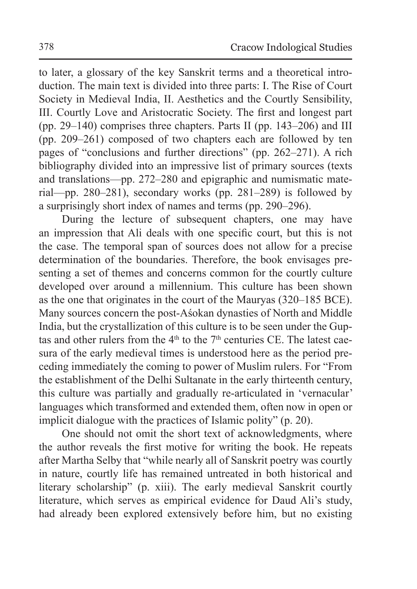to later, a glossary of the key Sanskrit terms and a theoretical introduction. The main text is divided into three parts: I. The Rise of Court Society in Medieval India, II. Aesthetics and the Courtly Sensibility, III. Courtly Love and Aristocratic Society. The first and longest part (pp. 29–140) comprises three chapters. Parts II (pp. 143–206) and III (pp. 209–261) composed of two chapters each are followed by ten pages of "conclusions and further directions" (pp. 262–271). A rich bibliography divided into an impressive list of primary sources (texts and translations—pp. 272–280 and epigraphic and numismatic material—pp. 280–281), secondary works (pp. 281–289) is followed by a surprisingly short index of names and terms (pp. 290–296).

During the lecture of subsequent chapters, one may have an impression that Ali deals with one specific court, but this is not the case. The temporal span of sources does not allow for a precise determination of the boundaries. Therefore, the book envisages presenting a set of themes and concerns common for the courtly culture developed over around a millennium. This culture has been shown as the one that originates in the court of the Mauryas (320–185 BCE). Many sources concern the post-Aśokan dynasties of North and Middle India, but the crystallization of this culture is to be seen under the Guptas and other rulers from the  $4<sup>th</sup>$  to the  $7<sup>th</sup>$  centuries CE. The latest caesura of the early medieval times is understood here as the period preceding immediately the coming to power of Muslim rulers. For "From the establishment of the Delhi Sultanate in the early thirteenth century, this culture was partially and gradually re-articulated in 'vernacular' languages which transformed and extended them, often now in open or implicit dialogue with the practices of Islamic polity" (p. 20).

One should not omit the short text of acknowledgments, where the author reveals the first motive for writing the book. He repeats after Martha Selby that "while nearly all of Sanskrit poetry was courtly in nature, courtly life has remained untreated in both historical and literary scholarship" (p. xiii). The early medieval Sanskrit courtly literature, which serves as empirical evidence for Daud Ali's study, had already been explored extensively before him, but no existing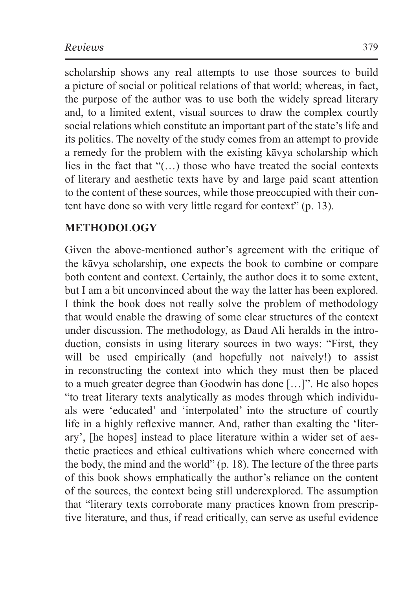scholarship shows any real attempts to use those sources to build a picture of social or political relations of that world; whereas, in fact, the purpose of the author was to use both the widely spread literary and, to a limited extent, visual sources to draw the complex courtly social relations which constitute an important part of the state's life and its politics. The novelty of the study comes from an attempt to provide a remedy for the problem with the existing kāvya scholarship which lies in the fact that "(…) those who have treated the social contexts of literary and aesthetic texts have by and large paid scant attention to the content of these sources, while those preoccupied with their content have done so with very little regard for context" (p. 13).

## **METHODOLOGY**

Given the above-mentioned author's agreement with the critique of the kāvya scholarship, one expects the book to combine or compare both content and context. Certainly, the author does it to some extent, but I am a bit unconvinced about the way the latter has been explored. I think the book does not really solve the problem of methodology that would enable the drawing of some clear structures of the context under discussion. The methodology, as Daud Ali heralds in the introduction, consists in using literary sources in two ways: "First, they will be used empirically (and hopefully not naively!) to assist in reconstructing the context into which they must then be placed to a much greater degree than Goodwin has done […]". He also hopes "to treat literary texts analytically as modes through which individuals were 'educated' and 'interpolated' into the structure of courtly life in a highly reflexive manner. And, rather than exalting the 'literary', [he hopes] instead to place literature within a wider set of aesthetic practices and ethical cultivations which where concerned with the body, the mind and the world" (p. 18). The lecture of the three parts of this book shows emphatically the author's reliance on the content of the sources, the context being still underexplored. The assumption that "literary texts corroborate many practices known from prescriptive literature, and thus, if read critically, can serve as useful evidence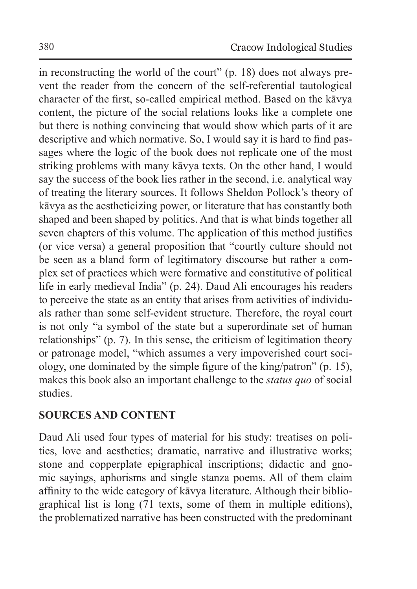in reconstructing the world of the court" (p. 18) does not always prevent the reader from the concern of the self-referential tautological character of the first, so-called empirical method. Based on the kāvya content, the picture of the social relations looks like a complete one but there is nothing convincing that would show which parts of it are descriptive and which normative. So, I would say it is hard to find passages where the logic of the book does not replicate one of the most striking problems with many kāvya texts. On the other hand, I would say the success of the book lies rather in the second, i.e. analytical way of treating the literary sources. It follows Sheldon Pollock's theory of kāvya as the aestheticizing power, or literature that has constantly both shaped and been shaped by politics. And that is what binds together all seven chapters of this volume. The application of this method justifies (or vice versa) a general proposition that "courtly culture should not be seen as a bland form of legitimatory discourse but rather a complex set of practices which were formative and constitutive of political life in early medieval India" (p. 24). Daud Ali encourages his readers to perceive the state as an entity that arises from activities of individuals rather than some self-evident structure. Therefore, the royal court is not only "a symbol of the state but a superordinate set of human relationships" (p. 7). In this sense, the criticism of legitimation theory or patronage model, "which assumes a very impoverished court sociology, one dominated by the simple figure of the king/patron" (p. 15), makes this book also an important challenge to the *status quo* of social studies.

## **SOURCES AND CONTENT**

Daud Ali used four types of material for his study: treatises on politics, love and aesthetics; dramatic, narrative and illustrative works; stone and copperplate epigraphical inscriptions; didactic and gnomic sayings, aphorisms and single stanza poems. All of them claim affinity to the wide category of kāvya literature. Although their bibliographical list is long (71 texts, some of them in multiple editions), the problematized narrative has been constructed with the predominant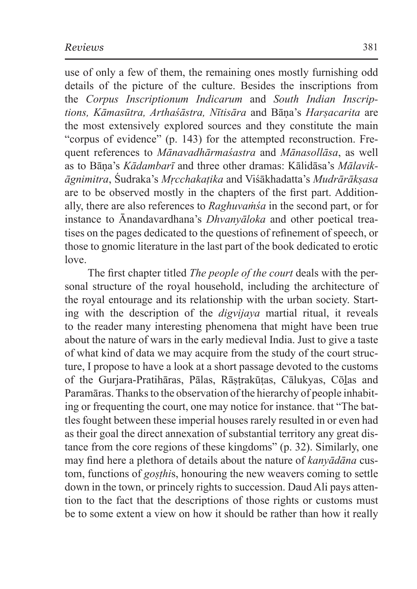use of only a few of them, the remaining ones mostly furnishing odd details of the picture of the culture. Besides the inscriptions from the *Corpus Inscriptionum Indicarum* and *South Indian Inscriptions, Kāmasūtra, Arthaśāstra, Nītisāra* and Bāṇa's *Harṣacarita* are the most extensively explored sources and they constitute the main "corpus of evidence" (p. 143) for the attempted reconstruction. Frequent references to *Mānavadhārmaśastra* and *Mānasollāsa*, as well as to Bāṇa's *Kādambarī* and three other dramas: Kālidāsa's *Mālavikāgnimitra*, Śudraka's *Mṛcchakaṭika* and Viśākhadatta's *Mudrārākṣasa* are to be observed mostly in the chapters of the first part. Additionally, there are also references to *Raghuvaṁśa* in the second part, or for instance to Ānandavardhana's *Dhvanyāloka* and other poetical treatises on the pages dedicated to the questions of refinement of speech, or those to gnomic literature in the last part of the book dedicated to erotic love.

The first chapter titled *The people of the court* deals with the personal structure of the royal household, including the architecture of the royal entourage and its relationship with the urban society. Starting with the description of the *digvijaya* martial ritual, it reveals to the reader many interesting phenomena that might have been true about the nature of wars in the early medieval India. Just to give a taste of what kind of data we may acquire from the study of the court structure, I propose to have a look at a short passage devoted to the customs of the Gurjara-Pratihāras, Pālas, Rāṣṭrakūṭas, Cālukyas, Cōḻas and Paramāras. Thanks to the observation of the hierarchy of people inhabiting or frequenting the court, one may notice for instance. that "The battles fought between these imperial houses rarely resulted in or even had as their goal the direct annexation of substantial territory any great distance from the core regions of these kingdoms" (p. 32). Similarly, one may find here a plethora of details about the nature of *kanyādāna* custom, functions of *goṣṭhi*s, honouring the new weavers coming to settle down in the town, or princely rights to succession. Daud Ali pays attention to the fact that the descriptions of those rights or customs must be to some extent a view on how it should be rather than how it really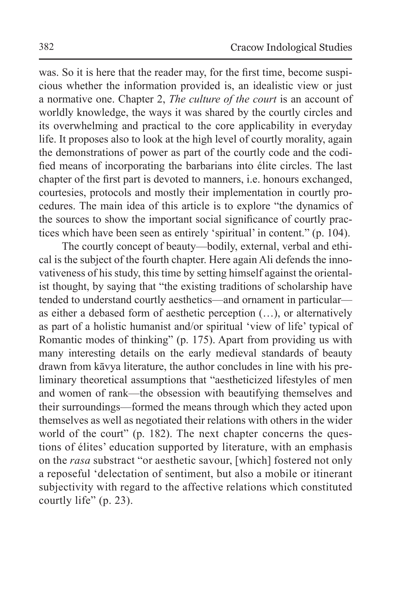was. So it is here that the reader may, for the first time, become suspicious whether the information provided is, an idealistic view or just a normative one. Chapter 2, *The culture of the court* is an account of worldly knowledge, the ways it was shared by the courtly circles and its overwhelming and practical to the core applicability in everyday life. It proposes also to look at the high level of courtly morality, again the demonstrations of power as part of the courtly code and the codified means of incorporating the barbarians into élite circles. The last chapter of the first part is devoted to manners, i.e. honours exchanged, courtesies, protocols and mostly their implementation in courtly procedures. The main idea of this article is to explore "the dynamics of the sources to show the important social significance of courtly practices which have been seen as entirely 'spiritual' in content." (p. 104).

The courtly concept of beauty—bodily, external, verbal and ethical is the subject of the fourth chapter. Here again Ali defends the innovativeness of his study, this time by setting himself against the orientalist thought, by saying that "the existing traditions of scholarship have tended to understand courtly aesthetics—and ornament in particular as either a debased form of aesthetic perception (…), or alternatively as part of a holistic humanist and/or spiritual 'view of life' typical of Romantic modes of thinking" (p. 175). Apart from providing us with many interesting details on the early medieval standards of beauty drawn from kāvya literature, the author concludes in line with his preliminary theoretical assumptions that "aestheticized lifestyles of men and women of rank—the obsession with beautifying themselves and their surroundings—formed the means through which they acted upon themselves as well as negotiated their relations with others in the wider world of the court" (p. 182). The next chapter concerns the questions of élites' education supported by literature, with an emphasis on the *rasa* substract "or aesthetic savour, [which] fostered not only a reposeful 'delectation of sentiment, but also a mobile or itinerant subjectivity with regard to the affective relations which constituted courtly life" (p. 23).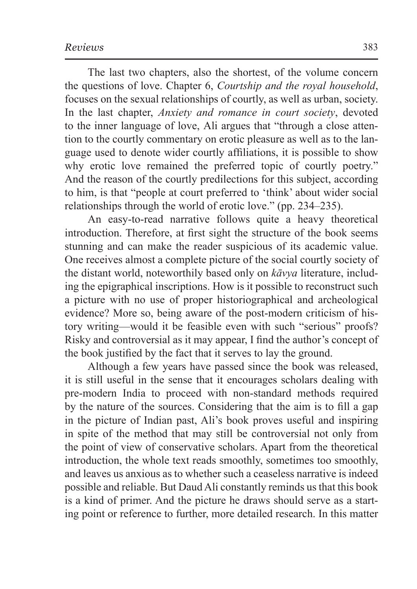The last two chapters, also the shortest, of the volume concern the questions of love. Chapter 6, *Courtship and the royal household*, focuses on the sexual relationships of courtly, as well as urban, society. In the last chapter, *Anxiety and romance in court society*, devoted to the inner language of love, Ali argues that "through a close attention to the courtly commentary on erotic pleasure as well as to the language used to denote wider courtly affiliations, it is possible to show why erotic love remained the preferred topic of courtly poetry." And the reason of the courtly predilections for this subject, according to him, is that "people at court preferred to 'think' about wider social relationships through the world of erotic love." (pp. 234–235).

An easy-to-read narrative follows quite a heavy theoretical introduction. Therefore, at first sight the structure of the book seems stunning and can make the reader suspicious of its academic value. One receives almost a complete picture of the social courtly society of the distant world, noteworthily based only on *kāvya* literature, including the epigraphical inscriptions. How is it possible to reconstruct such a picture with no use of proper historiographical and archeological evidence? More so, being aware of the post-modern criticism of history writing—would it be feasible even with such "serious" proofs? Risky and controversial as it may appear, I find the author's concept of the book justified by the fact that it serves to lay the ground.

Although a few years have passed since the book was released, it is still useful in the sense that it encourages scholars dealing with pre-modern India to proceed with non-standard methods required by the nature of the sources. Considering that the aim is to fill a gap in the picture of Indian past, Ali's book proves useful and inspiring in spite of the method that may still be controversial not only from the point of view of conservative scholars. Apart from the theoretical introduction, the whole text reads smoothly, sometimes too smoothly, and leaves us anxious as to whether such a ceaseless narrative is indeed possible and reliable. But Daud Ali constantly reminds us that this book is a kind of primer. And the picture he draws should serve as a starting point or reference to further, more detailed research. In this matter